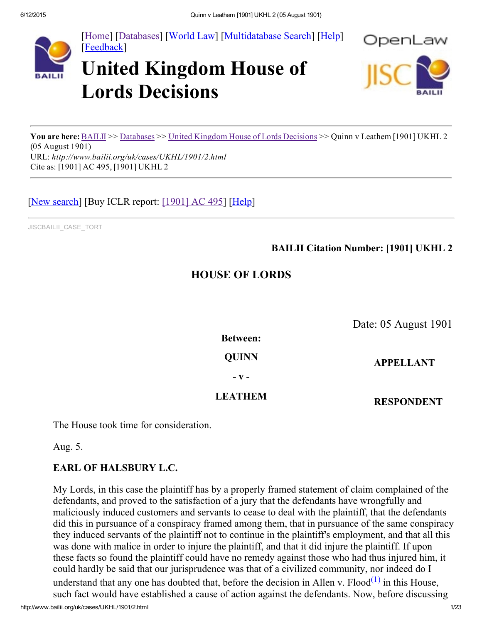[\[Home\]](http://www.bailii.org/) [[Databases\]](http://www.bailii.org/databases.html) [\[World](http://www.austlii.edu.au/links/World/) Law] [\[Multidatabase](http://www.bailii.org/form/search_multidatabase.html) Search] [\[Help\]](http://www.bailii.org/bailii/help/)



[\[Feedback\]](http://www.bailii.org/bailii/feedback.html)

United Kingdom House of Lords Decisions



OpenLaw

You are here: [BAILII](http://www.bailii.org/) >> [Databases](http://www.bailii.org/databases.html) >> United Kingdom House of Lords [Decisions](http://www.bailii.org/uk/cases/UKHL/) >> Quinn v Leathem [1901] UKHL 2 (05 August 1901) URL: http://www.bailii.org/uk/cases/UKHL/1901/2.html Cite as: [1901] AC 495, [1901] UKHL 2

[New [search\]](http://www.bailii.org/form/search_cases.html) [Buy ICLR report: [\[1901\]](https://shop.iclr.co.uk/Subscr/welcome.aspx?docId=XAC1901-1-495) AC 495] [\[Help\]](http://www.bailii.org/bailii/help/)

JISCBAILII\_CASE\_TORT

## BAILII Citation Number: [1901] UKHL 2

# HOUSE OF LORDS

Date: 05 August 1901

APPELLANT

Between: QUINN

 $-\mathbf{V}$  –

LEATHEM RESPONDENT

The House took time for consideration.

Aug. 5.

# EARL OF HALSBURY L.C.

My Lords, in this case the plaintiff has by a properly framed statement of claim complained of the defendants, and proved to the satisfaction of a jury that the defendants have wrongfully and maliciously induced customers and servants to cease to deal with the plaintiff, that the defendants did this in pursuance of a conspiracy framed among them, that in pursuance of the same conspiracy they induced servants of the plaintiff not to continue in the plaintiff's employment, and that all this was done with malice in order to injure the plaintiff, and that it did injure the plaintiff. If upon these facts so found the plaintiff could have no remedy against those who had thus injured him, it could hardly be said that our jurisprudence was that of a civilized community, nor indeed do I understand that any one has doubted that, before the decision in Allen v.  $Flood^{(1)}$  in this House, such fact would have established a cause of action against the defendants. Now, before discussing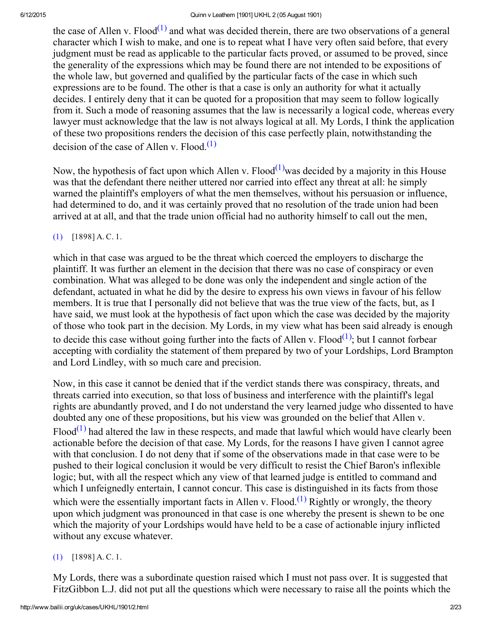the case of Allen v. Flood<sup>(1)</sup> and what was decided therein, there are two observations of a general character which I wish to make, and one is to repeat what I have very often said before, that every judgment must be read as applicable to the particular facts proved, or assumed to be proved, since the generality of the expressions which may be found there are not intended to be expositions of the whole law, but governed and qualified by the particular facts of the case in which such expressions are to be found. The other is that a case is only an authority for what it actually decides. I entirely deny that it can be quoted for a proposition that may seem to follow logically from it. Such a mode of reasoning assumes that the law is necessarily a logical code, whereas every lawyer must acknowledge that the law is not always logical at all. My Lords, I think the application of these two propositions renders the decision of this case perfectly plain, notwithstanding the decision of the case of Allen v. Flood.<sup>(1)</sup>

Now, the hypothesis of fact upon which Allen v. Flood $(1)$ was decided by a majority in this House was that the defendant there neither uttered nor carried into effect any threat at all: he simply warned the plaintiff's employers of what the men themselves, without his persuasion or influence, had determined to do, and it was certainly proved that no resolution of the trade union had been arrived at at all, and that the trade union official had no authority himself to call out the men,

## (1) [1898] A. C. 1.

which in that case was argued to be the threat which coerced the employers to discharge the plaintiff. It was further an element in the decision that there was no case of conspiracy or even combination. What was alleged to be done was only the independent and single action of the defendant, actuated in what he did by the desire to express his own views in favour of his fellow members. It is true that I personally did not believe that was the true view of the facts, but, as I have said, we must look at the hypothesis of fact upon which the case was decided by the majority of those who took part in the decision. My Lords, in my view what has been said already is enough to decide this case without going further into the facts of Allen v. Flood $(1)$ ; but I cannot forbear accepting with cordiality the statement of them prepared by two of your Lordships, Lord Brampton and Lord Lindley, with so much care and precision.

Now, in this case it cannot be denied that if the verdict stands there was conspiracy, threats, and threats carried into execution, so that loss of business and interference with the plaintiff's legal rights are abundantly proved, and I do not understand the very learned judge who dissented to have doubted any one of these propositions, but his view was grounded on the belief that Allen v. Flood<sup>(1)</sup> had altered the law in these respects, and made that lawful which would have clearly been actionable before the decision of that case. My Lords, for the reasons I have given I cannot agree with that conclusion. I do not deny that if some of the observations made in that case were to be pushed to their logical conclusion it would be very difficult to resist the Chief Baron's inflexible logic; but, with all the respect which any view of that learned judge is entitled to command and which I unfeignedly entertain, I cannot concur. This case is distinguished in its facts from those which were the essentially important facts in Allen v. Flood.<sup>(1)</sup> Rightly or wrongly, the theory upon which judgment was pronounced in that case is one whereby the present is shewn to be one which the majority of your Lordships would have held to be a case of actionable injury inflicted without any excuse whatever.

## (1) [1898] A. C. 1.

My Lords, there was a subordinate question raised which I must not pass over. It is suggested that FitzGibbon L.J. did not put all the questions which were necessary to raise all the points which the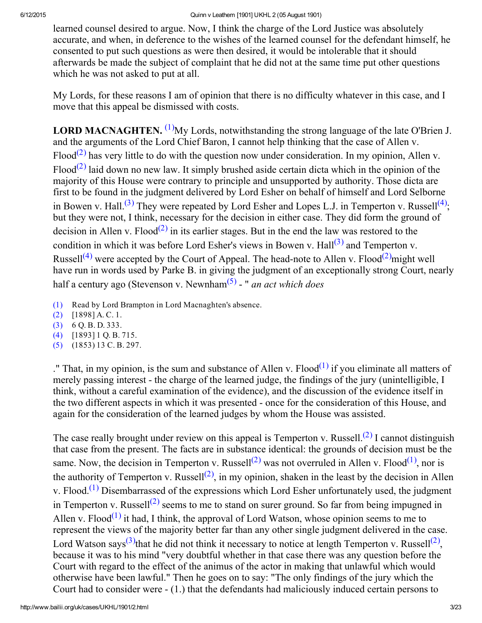learned counsel desired to argue. Now, I think the charge of the Lord Justice was absolutely accurate, and when, in deference to the wishes of the learned counsel for the defendant himself, he consented to put such questions as were then desired, it would be intolerable that it should afterwards be made the subject of complaint that he did not at the same time put other questions which he was not asked to put at all.

My Lords, for these reasons I am of opinion that there is no difficulty whatever in this case, and I move that this appeal be dismissed with costs.

**LORD MACNAGHTEN.** <sup>(1)</sup>My Lords, notwithstanding the strong language of the late O'Brien J. and the arguments of the Lord Chief Baron, I cannot help thinking that the case of Allen v. Flood<sup>(2)</sup> has very little to do with the question now under consideration. In my opinion, Allen v. Flood<sup>(2)</sup> laid down no new law. It simply brushed aside certain dicta which in the opinion of the majority of this House were contrary to principle and unsupported by authority. Those dicta are first to be found in the judgment delivered by Lord Esher on behalf of himself and Lord Selborne in Bowen v. Hall.<sup>(3)</sup> They were repeated by Lord Esher and Lopes L.J. in Temperton v. Russell<sup>(4)</sup>; but they were not, I think, necessary for the decision in either case. They did form the ground of decision in Allen v. Flood<sup>(2)</sup> in its earlier stages. But in the end the law was restored to the condition in which it was before Lord Esher's views in Bowen v. Hall<sup>(3)</sup> and Temperton v. Russell<sup>(4)</sup> were accepted by the Court of Appeal. The head-note to Allen v. Flood<sup>(2)</sup>might well have run in words used by Parke B. in giving the judgment of an exceptionally strong Court, nearly half a century ago (Stevenson v. Newnham<sup>(5)</sup> - " *an act which does* 

- (1) Read by Lord Brampton in Lord Macnaghten's absence.
- (2) [1898] A. C. 1.
- (3) 6 Q. B. D. 333.
- (4) [1893] 1 Q. B. 715.
- (5) (1853) 13 C. B. 297.

." That, in my opinion, is the sum and substance of Allen v. Flood<sup>(1)</sup> if you eliminate all matters of merely passing interest - the charge of the learned judge, the findings of the jury (unintelligible, I think, without a careful examination of the evidence), and the discussion of the evidence itself in the two different aspects in which it was presented once for the consideration of this House, and again for the consideration of the learned judges by whom the House was assisted.

The case really brought under review on this appeal is Temperton v. Russell.<sup>(2)</sup> I cannot distinguish that case from the present. The facts are in substance identical: the grounds of decision must be the same. Now, the decision in Temperton v. Russell<sup>(2)</sup> was not overruled in Allen v. Flood<sup>(1)</sup>, nor is the authority of Temperton v. Russell<sup>(2)</sup>, in my opinion, shaken in the least by the decision in Allen v. Flood.<sup>(1)</sup> Disembarrassed of the expressions which Lord Esher unfortunately used, the judgment in Temperton v. Russell<sup>(2)</sup> seems to me to stand on surer ground. So far from being impugned in Allen v. Flood<sup>(1)</sup> it had, I think, the approval of Lord Watson, whose opinion seems to me to represent the views of the majority better far than any other single judgment delivered in the case. Lord Watson says<sup>(3)</sup> that he did not think it necessary to notice at length Temperton v. Russell<sup>(2)</sup>, because it was to his mind "very doubtful whether in that case there was any question before the Court with regard to the effect of the animus of the actor in making that unlawful which would otherwise have been lawful." Then he goes on to say: "The only findings of the jury which the Court had to consider were (1.) that the defendants had maliciously induced certain persons to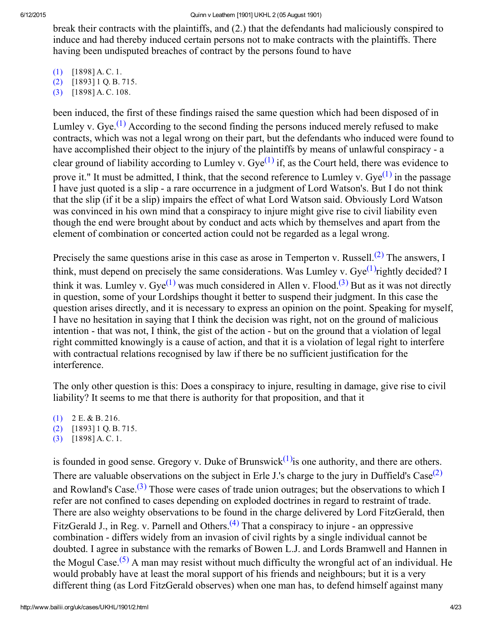break their contracts with the plaintiffs, and (2.) that the defendants had maliciously conspired to induce and had thereby induced certain persons not to make contracts with the plaintiffs. There having been undisputed breaches of contract by the persons found to have

- (1) [1898] A. C. 1.
- (2) [1893] 1 Q. B. 715.
- (3) [1898] A. C. 108.

been induced, the first of these findings raised the same question which had been disposed of in Lumley v. Gye.<sup> $(1)$ </sup> According to the second finding the persons induced merely refused to make contracts, which was not a legal wrong on their part, but the defendants who induced were found to have accomplished their object to the injury of the plaintiffs by means of unlawful conspiracy - a clear ground of liability according to Lumley v.  $Gye^{(1)}$  if, as the Court held, there was evidence to prove it." It must be admitted, I think, that the second reference to Lumley v.  $Gye^{(1)}$  in the passage I have just quoted is a slip - a rare occurrence in a judgment of Lord Watson's. But I do not think that the slip (if it be a slip) impairs the effect of what Lord Watson said. Obviously Lord Watson was convinced in his own mind that a conspiracy to injure might give rise to civil liability even though the end were brought about by conduct and acts which by themselves and apart from the element of combination or concerted action could not be regarded as a legal wrong.

Precisely the same questions arise in this case as arose in Temperton v. Russell.<sup>(2)</sup> The answers, I think, must depend on precisely the same considerations. Was Lumley v.  $Gye^{(1)}$ rightly decided? I think it was. Lumley v.  $Gye^{(1)}$  was much considered in Allen v. Flood.<sup>(3)</sup> But as it was not directly in question, some of your Lordships thought it better to suspend their judgment. In this case the question arises directly, and it is necessary to express an opinion on the point. Speaking for myself, I have no hesitation in saying that I think the decision was right, not on the ground of malicious intention - that was not, I think, the gist of the action - but on the ground that a violation of legal right committed knowingly is a cause of action, and that it is a violation of legal right to interfere with contractual relations recognised by law if there be no sufficient justification for the interference.

The only other question is this: Does a conspiracy to injure, resulting in damage, give rise to civil liability? It seems to me that there is authority for that proposition, and that it

- (1)  $2 E. & B. 216.$
- (2) [1893] 1 Q. B. 715.
- (3) [1898] A. C. 1.

is founded in good sense. Gregory v. Duke of Brunswick $(1)$  is one authority, and there are others. There are valuable observations on the subject in Erle J.'s charge to the jury in Duffield's  $\text{Case}^{(2)}$ and Rowland's Case.<sup>(3)</sup> Those were cases of trade union outrages; but the observations to which I refer are not confined to cases depending on exploded doctrines in regard to restraint of trade. There are also weighty observations to be found in the charge delivered by Lord FitzGerald, then FitzGerald J., in Reg. v. Parnell and Others.  $(4)$  That a conspiracy to injure - an oppressive combination - differs widely from an invasion of civil rights by a single individual cannot be doubted. I agree in substance with the remarks of Bowen L.J. and Lords Bramwell and Hannen in the Mogul Case.<sup>(5)</sup> A man may resist without much difficulty the wrongful act of an individual. He would probably have at least the moral support of his friends and neighbours; but it is a very different thing (as Lord FitzGerald observes) when one man has, to defend himself against many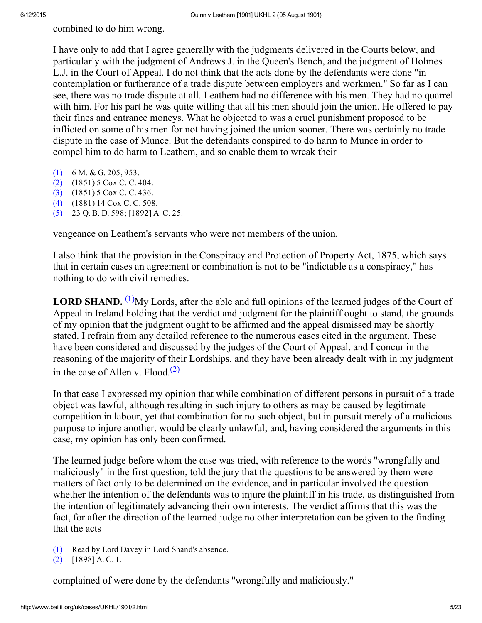combined to do him wrong.

I have only to add that I agree generally with the judgments delivered in the Courts below, and particularly with the judgment of Andrews J. in the Queen's Bench, and the judgment of Holmes L.J. in the Court of Appeal. I do not think that the acts done by the defendants were done "in contemplation or furtherance of a trade dispute between employers and workmen." So far as I can see, there was no trade dispute at all. Leathem had no difference with his men. They had no quarrel with him. For his part he was quite willing that all his men should join the union. He offered to pay their fines and entrance moneys. What he objected to was a cruel punishment proposed to be inflicted on some of his men for not having joined the union sooner. There was certainly no trade dispute in the case of Munce. But the defendants conspired to do harm to Munce in order to compel him to do harm to Leathem, and so enable them to wreak their

- $(1)$  6 M. & G. 205, 953.
- (2) (1851) 5 Cox C. C. 404.
- (3) (1851) 5 Cox C. C. 436.
- (4) (1881) 14 Cox C. C. 508.
- (5) 23 Q. B. D. 598; [1892] A. C. 25.

vengeance on Leathem's servants who were not members of the union.

I also think that the provision in the Conspiracy and Protection of Property Act, 1875, which says that in certain cases an agreement or combination is not to be "indictable as a conspiracy," has nothing to do with civil remedies.

**LORD SHAND.** <sup>(1)</sup>My Lords, after the able and full opinions of the learned judges of the Court of Appeal in Ireland holding that the verdict and judgment for the plaintiff ought to stand, the grounds of my opinion that the judgment ought to be affirmed and the appeal dismissed may be shortly stated. I refrain from any detailed reference to the numerous cases cited in the argument. These have been considered and discussed by the judges of the Court of Appeal, and I concur in the reasoning of the majority of their Lordships, and they have been already dealt with in my judgment in the case of Allen v. Flood. $(2)$ 

In that case I expressed my opinion that while combination of different persons in pursuit of a trade object was lawful, although resulting in such injury to others as may be caused by legitimate competition in labour, yet that combination for no such object, but in pursuit merely of a malicious purpose to injure another, would be clearly unlawful; and, having considered the arguments in this case, my opinion has only been confirmed.

The learned judge before whom the case was tried, with reference to the words "wrongfully and maliciously" in the first question, told the jury that the questions to be answered by them were matters of fact only to be determined on the evidence, and in particular involved the question whether the intention of the defendants was to injure the plaintiff in his trade, as distinguished from the intention of legitimately advancing their own interests. The verdict affirms that this was the fact, for after the direction of the learned judge no other interpretation can be given to the finding that the acts

- (1) Read by Lord Davey in Lord Shand's absence.
- (2) [1898] A. C. 1.

complained of were done by the defendants "wrongfully and maliciously."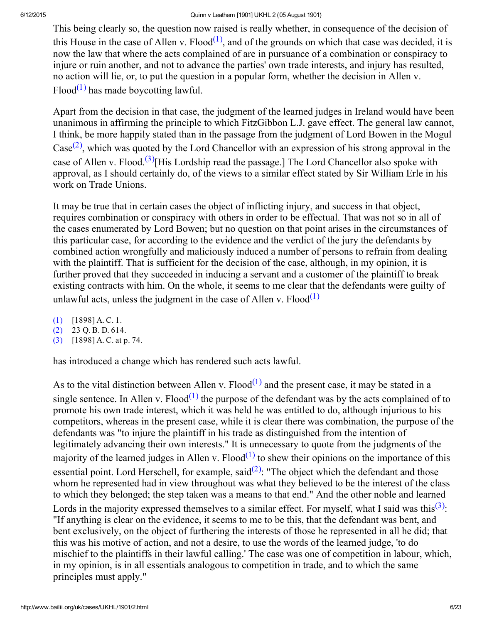This being clearly so, the question now raised is really whether, in consequence of the decision of this House in the case of Allen v. Flood<sup>(1)</sup>, and of the grounds on which that case was decided, it is now the law that where the acts complained of are in pursuance of a combination or conspiracy to injure or ruin another, and not to advance the parties' own trade interests, and injury has resulted, no action will lie, or, to put the question in a popular form, whether the decision in Allen v. Flood $(1)$  has made boycotting lawful.

Apart from the decision in that case, the judgment of the learned judges in Ireland would have been unanimous in affirming the principle to which FitzGibbon L.J. gave effect. The general law cannot, I think, be more happily stated than in the passage from the judgment of Lord Bowen in the Mogul Case<sup>(2)</sup>, which was quoted by the Lord Chancellor with an expression of his strong approval in the case of Allen v. Flood.<sup>(3)</sup>[His Lordship read the passage.] The Lord Chancellor also spoke with approval, as I should certainly do, of the views to a similar effect stated by Sir William Erle in his work on Trade Unions.

It may be true that in certain cases the object of inflicting injury, and success in that object, requires combination or conspiracy with others in order to be effectual. That was not so in all of the cases enumerated by Lord Bowen; but no question on that point arises in the circumstances of this particular case, for according to the evidence and the verdict of the jury the defendants by combined action wrongfully and maliciously induced a number of persons to refrain from dealing with the plaintiff. That is sufficient for the decision of the case, although, in my opinion, it is further proved that they succeeded in inducing a servant and a customer of the plaintiff to break existing contracts with him. On the whole, it seems to me clear that the defendants were guilty of unlawful acts, unless the judgment in the case of Allen v.  $Flood^{(1)}$ 

- (1) [1898] A. C. 1.
- (2) 23 Q. B. D. 614.
- (3) [1898] A. C. at p. 74.

has introduced a change which has rendered such acts lawful.

As to the vital distinction between Allen v. Flood<sup>(1)</sup> and the present case, it may be stated in a single sentence. In Allen v.  $Flood^{(1)}$  the purpose of the defendant was by the acts complained of to promote his own trade interest, which it was held he was entitled to do, although injurious to his competitors, whereas in the present case, while it is clear there was combination, the purpose of the defendants was "to injure the plaintiff in his trade as distinguished from the intention of legitimately advancing their own interests." It is unnecessary to quote from the judgments of the majority of the learned judges in Allen v. Flood $(1)$  to shew their opinions on the importance of this essential point. Lord Herschell, for example, said $(2)$ : "The object which the defendant and those whom he represented had in view throughout was what they believed to be the interest of the class to which they belonged; the step taken was a means to that end." And the other noble and learned Lords in the majority expressed themselves to a similar effect. For myself, what I said was this<sup>(3)</sup>: "If anything is clear on the evidence, it seems to me to be this, that the defendant was bent, and bent exclusively, on the object of furthering the interests of those he represented in all he did; that this was his motive of action, and not a desire, to use the words of the learned judge, 'to do mischief to the plaintiffs in their lawful calling.' The case was one of competition in labour, which, in my opinion, is in all essentials analogous to competition in trade, and to which the same principles must apply."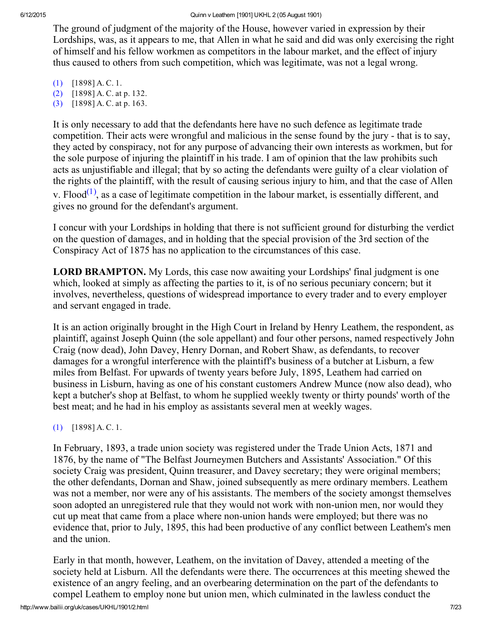The ground of judgment of the majority of the House, however varied in expression by their Lordships, was, as it appears to me, that Allen in what he said and did was only exercising the right of himself and his fellow workmen as competitors in the labour market, and the effect of injury thus caused to others from such competition, which was legitimate, was not a legal wrong.

(1) [1898] A. C. 1.

- (2) [1898] A. C. at p. 132.
- (3) [1898] A. C. at p. 163.

It is only necessary to add that the defendants here have no such defence as legitimate trade competition. Their acts were wrongful and malicious in the sense found by the jury - that is to say, they acted by conspiracy, not for any purpose of advancing their own interests as workmen, but for the sole purpose of injuring the plaintiff in his trade. I am of opinion that the law prohibits such acts as unjustifiable and illegal; that by so acting the defendants were guilty of a clear violation of the rights of the plaintiff, with the result of causing serious injury to him, and that the case of Allen v. Flood<sup>(1)</sup>, as a case of legitimate competition in the labour market, is essentially different, and gives no ground for the defendant's argument.

I concur with your Lordships in holding that there is not sufficient ground for disturbing the verdict on the question of damages, and in holding that the special provision of the 3rd section of the Conspiracy Act of 1875 has no application to the circumstances of this case.

LORD BRAMPTON. My Lords, this case now awaiting your Lordships' final judgment is one which, looked at simply as affecting the parties to it, is of no serious pecuniary concern; but it involves, nevertheless, questions of widespread importance to every trader and to every employer and servant engaged in trade.

It is an action originally brought in the High Court in Ireland by Henry Leathem, the respondent, as plaintiff, against Joseph Quinn (the sole appellant) and four other persons, named respectively John Craig (now dead), John Davey, Henry Dornan, and Robert Shaw, as defendants, to recover damages for a wrongful interference with the plaintiff's business of a butcher at Lisburn, a few miles from Belfast. For upwards of twenty years before July, 1895, Leathem had carried on business in Lisburn, having as one of his constant customers Andrew Munce (now also dead), who kept a butcher's shop at Belfast, to whom he supplied weekly twenty or thirty pounds' worth of the best meat; and he had in his employ as assistants several men at weekly wages.

(1) [1898] A. C. 1.

In February, 1893, a trade union society was registered under the Trade Union Acts, 1871 and 1876, by the name of "The Belfast Journeymen Butchers and Assistants' Association." Of this society Craig was president, Quinn treasurer, and Davey secretary; they were original members; the other defendants, Dornan and Shaw, joined subsequently as mere ordinary members. Leathem was not a member, nor were any of his assistants. The members of the society amongst themselves soon adopted an unregistered rule that they would not work with non-union men, nor would they cut up meat that came from a place where non-union hands were employed; but there was no evidence that, prior to July, 1895, this had been productive of any conflict between Leathem's men and the union.

Early in that month, however, Leathem, on the invitation of Davey, attended a meeting of the society held at Lisburn. All the defendants were there. The occurrences at this meeting shewed the existence of an angry feeling, and an overbearing determination on the part of the defendants to compel Leathem to employ none but union men, which culminated in the lawless conduct the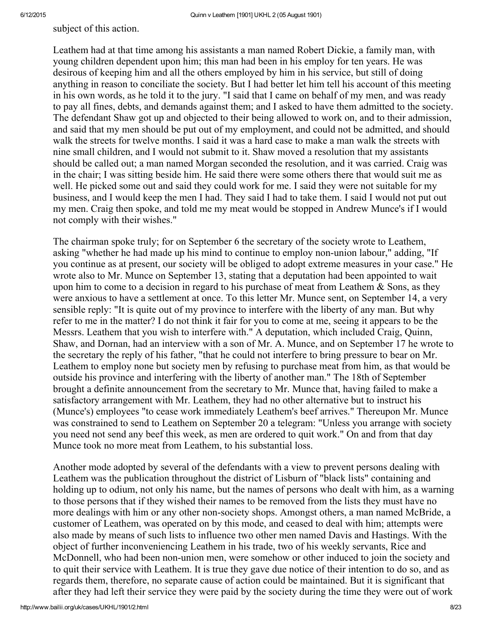subject of this action.

Leathem had at that time among his assistants a man named Robert Dickie, a family man, with young children dependent upon him; this man had been in his employ for ten years. He was desirous of keeping him and all the others employed by him in his service, but still of doing anything in reason to conciliate the society. But I had better let him tell his account of this meeting in his own words, as he told it to the jury. "I said that I came on behalf of my men, and was ready to pay all fines, debts, and demands against them; and I asked to have them admitted to the society. The defendant Shaw got up and objected to their being allowed to work on, and to their admission, and said that my men should be put out of my employment, and could not be admitted, and should walk the streets for twelve months. I said it was a hard case to make a man walk the streets with nine small children, and I would not submit to it. Shaw moved a resolution that my assistants should be called out; a man named Morgan seconded the resolution, and it was carried. Craig was in the chair; I was sitting beside him. He said there were some others there that would suit me as well. He picked some out and said they could work for me. I said they were not suitable for my business, and I would keep the men I had. They said I had to take them. I said I would not put out my men. Craig then spoke, and told me my meat would be stopped in Andrew Munce's if I would not comply with their wishes."

The chairman spoke truly; for on September 6 the secretary of the society wrote to Leathem, asking "whether he had made up his mind to continue to employ non-union labour," adding, "If you continue as at present, our society will be obliged to adopt extreme measures in your case." He wrote also to Mr. Munce on September 13, stating that a deputation had been appointed to wait upon him to come to a decision in regard to his purchase of meat from Leathem  $\&$  Sons, as they were anxious to have a settlement at once. To this letter Mr. Munce sent, on September 14, a very sensible reply: "It is quite out of my province to interfere with the liberty of any man. But why refer to me in the matter? I do not think it fair for you to come at me, seeing it appears to be the Messrs. Leathem that you wish to interfere with." A deputation, which included Craig, Quinn, Shaw, and Dornan, had an interview with a son of Mr. A. Munce, and on September 17 he wrote to the secretary the reply of his father, "that he could not interfere to bring pressure to bear on Mr. Leathem to employ none but society men by refusing to purchase meat from him, as that would be outside his province and interfering with the liberty of another man." The 18th of September brought a definite announcement from the secretary to Mr. Munce that, having failed to make a satisfactory arrangement with Mr. Leathem, they had no other alternative but to instruct his (Munce's) employees "to cease work immediately Leathem's beef arrives." Thereupon Mr. Munce was constrained to send to Leathem on September 20 a telegram: "Unless you arrange with society you need not send any beef this week, as men are ordered to quit work." On and from that day Munce took no more meat from Leathem, to his substantial loss.

Another mode adopted by several of the defendants with a view to prevent persons dealing with Leathem was the publication throughout the district of Lisburn of "black lists" containing and holding up to odium, not only his name, but the names of persons who dealt with him, as a warning to those persons that if they wished their names to be removed from the lists they must have no more dealings with him or any other non-society shops. Amongst others, a man named McBride, a customer of Leathem, was operated on by this mode, and ceased to deal with him; attempts were also made by means of such lists to influence two other men named Davis and Hastings. With the object of further inconveniencing Leathem in his trade, two of his weekly servants, Rice and McDonnell, who had been non-union men, were somehow or other induced to join the society and to quit their service with Leathem. It is true they gave due notice of their intention to do so, and as regards them, therefore, no separate cause of action could be maintained. But it is significant that after they had left their service they were paid by the society during the time they were out of work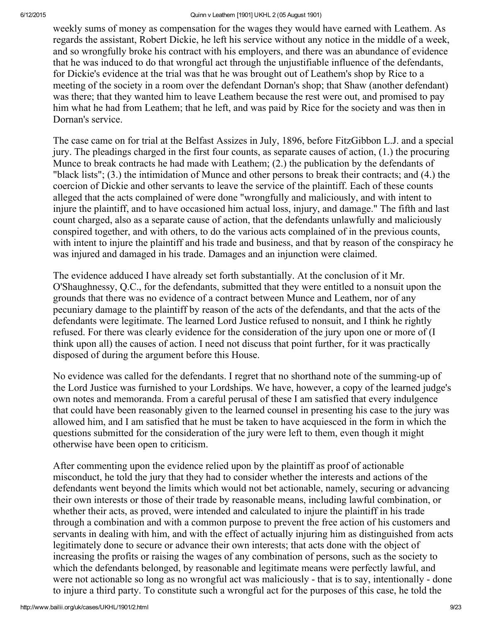weekly sums of money as compensation for the wages they would have earned with Leathem. As regards the assistant, Robert Dickie, he left his service without any notice in the middle of a week, and so wrongfully broke his contract with his employers, and there was an abundance of evidence that he was induced to do that wrongful act through the unjustifiable influence of the defendants, for Dickie's evidence at the trial was that he was brought out of Leathem's shop by Rice to a meeting of the society in a room over the defendant Dornan's shop; that Shaw (another defendant) was there; that they wanted him to leave Leathem because the rest were out, and promised to pay him what he had from Leathem; that he left, and was paid by Rice for the society and was then in Dornan's service.

The case came on for trial at the Belfast Assizes in July, 1896, before FitzGibbon L.J. and a special jury. The pleadings charged in the first four counts, as separate causes of action, (1.) the procuring Munce to break contracts he had made with Leathem; (2.) the publication by the defendants of "black lists"; (3.) the intimidation of Munce and other persons to break their contracts; and (4.) the coercion of Dickie and other servants to leave the service of the plaintiff. Each of these counts alleged that the acts complained of were done "wrongfully and maliciously, and with intent to injure the plaintiff, and to have occasioned him actual loss, injury, and damage." The fifth and last count charged, also as a separate cause of action, that the defendants unlawfully and maliciously conspired together, and with others, to do the various acts complained of in the previous counts, with intent to injure the plaintiff and his trade and business, and that by reason of the conspiracy he was injured and damaged in his trade. Damages and an injunction were claimed.

The evidence adduced I have already set forth substantially. At the conclusion of it Mr. O'Shaughnessy, Q.C., for the defendants, submitted that they were entitled to a nonsuit upon the grounds that there was no evidence of a contract between Munce and Leathem, nor of any pecuniary damage to the plaintiff by reason of the acts of the defendants, and that the acts of the defendants were legitimate. The learned Lord Justice refused to nonsuit, and I think he rightly refused. For there was clearly evidence for the consideration of the jury upon one or more of (I think upon all) the causes of action. I need not discuss that point further, for it was practically disposed of during the argument before this House.

No evidence was called for the defendants. I regret that no shorthand note of the summing-up of the Lord Justice was furnished to your Lordships. We have, however, a copy of the learned judge's own notes and memoranda. From a careful perusal of these I am satisfied that every indulgence that could have been reasonably given to the learned counsel in presenting his case to the jury was allowed him, and I am satisfied that he must be taken to have acquiesced in the form in which the questions submitted for the consideration of the jury were left to them, even though it might otherwise have been open to criticism.

After commenting upon the evidence relied upon by the plaintiff as proof of actionable misconduct, he told the jury that they had to consider whether the interests and actions of the defendants went beyond the limits which would not bet actionable, namely, securing or advancing their own interests or those of their trade by reasonable means, including lawful combination, or whether their acts, as proved, were intended and calculated to injure the plaintiff in his trade through a combination and with a common purpose to prevent the free action of his customers and servants in dealing with him, and with the effect of actually injuring him as distinguished from acts legitimately done to secure or advance their own interests; that acts done with the object of increasing the profits or raising the wages of any combination of persons, such as the society to which the defendants belonged, by reasonable and legitimate means were perfectly lawful, and were not actionable so long as no wrongful act was maliciously - that is to say, intentionally - done to injure a third party. To constitute such a wrongful act for the purposes of this case, he told the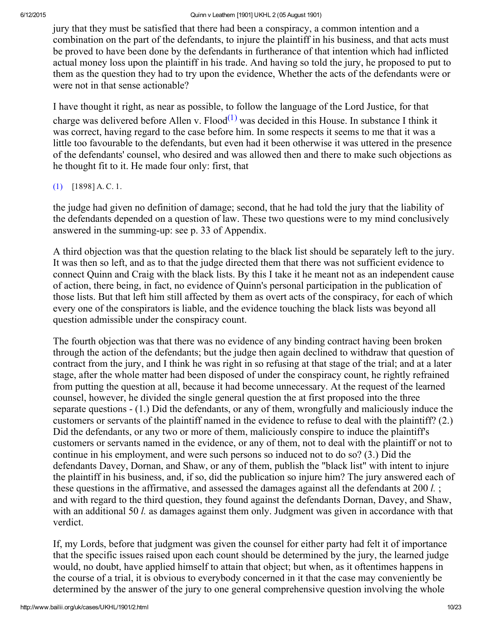jury that they must be satisfied that there had been a conspiracy, a common intention and a combination on the part of the defendants, to injure the plaintiff in his business, and that acts must be proved to have been done by the defendants in furtherance of that intention which had inflicted actual money loss upon the plaintiff in his trade. And having so told the jury, he proposed to put to them as the question they had to try upon the evidence, Whether the acts of the defendants were or were not in that sense actionable?

I have thought it right, as near as possible, to follow the language of the Lord Justice, for that charge was delivered before Allen v. Flood $^{(1)}$  was decided in this House. In substance I think it was correct, having regard to the case before him. In some respects it seems to me that it was a little too favourable to the defendants, but even had it been otherwise it was uttered in the presence of the defendants' counsel, who desired and was allowed then and there to make such objections as he thought fit to it. He made four only: first, that

(1) [1898] A. C. 1.

the judge had given no definition of damage; second, that he had told the jury that the liability of the defendants depended on a question of law. These two questions were to my mind conclusively answered in the summing-up: see p. 33 of Appendix.

A third objection was that the question relating to the black list should be separately left to the jury. It was then so left, and as to that the judge directed them that there was not sufficient evidence to connect Quinn and Craig with the black lists. By this I take it he meant not as an independent cause of action, there being, in fact, no evidence of Quinn's personal participation in the publication of those lists. But that left him still affected by them as overt acts of the conspiracy, for each of which every one of the conspirators is liable, and the evidence touching the black lists was beyond all question admissible under the conspiracy count.

The fourth objection was that there was no evidence of any binding contract having been broken through the action of the defendants; but the judge then again declined to withdraw that question of contract from the jury, and I think he was right in so refusing at that stage of the trial; and at a later stage, after the whole matter had been disposed of under the conspiracy count, he rightly refrained from putting the question at all, because it had become unnecessary. At the request of the learned counsel, however, he divided the single general question the at first proposed into the three separate questions - (1.) Did the defendants, or any of them, wrongfully and maliciously induce the customers or servants of the plaintiff named in the evidence to refuse to deal with the plaintiff? (2.) Did the defendants, or any two or more of them, maliciously conspire to induce the plaintiff's customers or servants named in the evidence, or any of them, not to deal with the plaintiff or not to continue in his employment, and were such persons so induced not to do so? (3.) Did the defendants Davey, Dornan, and Shaw, or any of them, publish the "black list" with intent to injure the plaintiff in his business, and, if so, did the publication so injure him? The jury answered each of these questions in the affirmative, and assessed the damages against all the defendants at 200  $l$ .; and with regard to the third question, they found against the defendants Dornan, Davey, and Shaw, with an additional 50 *l*. as damages against them only. Judgment was given in accordance with that verdict.

If, my Lords, before that judgment was given the counsel for either party had felt it of importance that the specific issues raised upon each count should be determined by the jury, the learned judge would, no doubt, have applied himself to attain that object; but when, as it oftentimes happens in the course of a trial, it is obvious to everybody concerned in it that the case may conveniently be determined by the answer of the jury to one general comprehensive question involving the whole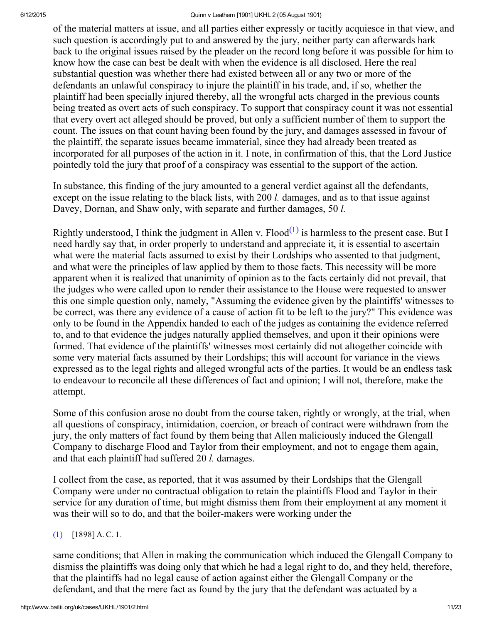of the material matters at issue, and all parties either expressly or tacitly acquiesce in that view, and such question is accordingly put to and answered by the jury, neither party can afterwards hark back to the original issues raised by the pleader on the record long before it was possible for him to know how the case can best be dealt with when the evidence is all disclosed. Here the real substantial question was whether there had existed between all or any two or more of the defendants an unlawful conspiracy to injure the plaintiff in his trade, and, if so, whether the plaintiff had been specially injured thereby, all the wrongful acts charged in the previous counts being treated as overt acts of such conspiracy. To support that conspiracy count it was not essential that every overt act alleged should be proved, but only a sufficient number of them to support the count. The issues on that count having been found by the jury, and damages assessed in favour of the plaintiff, the separate issues became immaterial, since they had already been treated as incorporated for all purposes of the action in it. I note, in confirmation of this, that the Lord Justice pointedly told the jury that proof of a conspiracy was essential to the support of the action.

In substance, this finding of the jury amounted to a general verdict against all the defendants, except on the issue relating to the black lists, with 200 *l*. damages, and as to that issue against Davey, Dornan, and Shaw only, with separate and further damages, 50 *l.* 

Rightly understood, I think the judgment in Allen v.  $Flood^{(1)}$  is harmless to the present case. But I need hardly say that, in order properly to understand and appreciate it, it is essential to ascertain what were the material facts assumed to exist by their Lordships who assented to that judgment, and what were the principles of law applied by them to those facts. This necessity will be more apparent when it is realized that unanimity of opinion as to the facts certainly did not prevail, that the judges who were called upon to render their assistance to the House were requested to answer this one simple question only, namely, "Assuming the evidence given by the plaintiffs' witnesses to be correct, was there any evidence of a cause of action fit to be left to the jury?" This evidence was only to be found in the Appendix handed to each of the judges as containing the evidence referred to, and to that evidence the judges naturally applied themselves, and upon it their opinions were formed. That evidence of the plaintiffs' witnesses most certainly did not altogether coincide with some very material facts assumed by their Lordships; this will account for variance in the views expressed as to the legal rights and alleged wrongful acts of the parties. It would be an endless task to endeavour to reconcile all these differences of fact and opinion; I will not, therefore, make the attempt.

Some of this confusion arose no doubt from the course taken, rightly or wrongly, at the trial, when all questions of conspiracy, intimidation, coercion, or breach of contract were withdrawn from the jury, the only matters of fact found by them being that Allen maliciously induced the Glengall Company to discharge Flood and Taylor from their employment, and not to engage them again, and that each plaintiff had suffered 20 l. damages.

I collect from the case, as reported, that it was assumed by their Lordships that the Glengall Company were under no contractual obligation to retain the plaintiffs Flood and Taylor in their service for any duration of time, but might dismiss them from their employment at any moment it was their will so to do, and that the boiler-makers were working under the

### (1) [1898] A. C. 1.

same conditions; that Allen in making the communication which induced the Glengall Company to dismiss the plaintiffs was doing only that which he had a legal right to do, and they held, therefore, that the plaintiffs had no legal cause of action against either the Glengall Company or the defendant, and that the mere fact as found by the jury that the defendant was actuated by a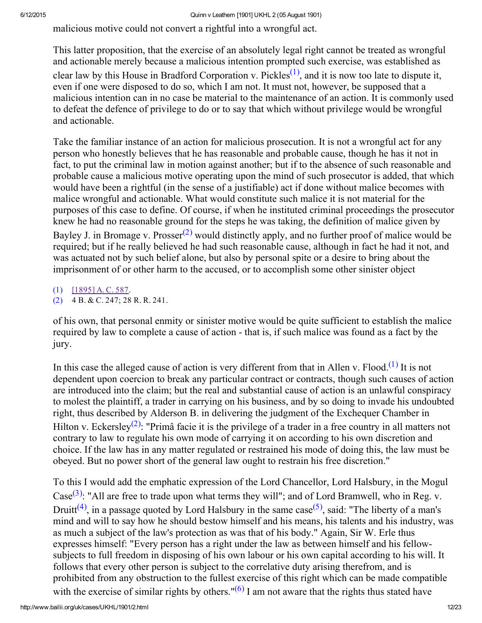malicious motive could not convert a rightful into a wrongful act.

This latter proposition, that the exercise of an absolutely legal right cannot be treated as wrongful and actionable merely because a malicious intention prompted such exercise, was established as clear law by this House in Bradford Corporation v. Pickles<sup>(1)</sup>, and it is now too late to dispute it, even if one were disposed to do so, which I am not. It must not, however, be supposed that a malicious intention can in no case be material to the maintenance of an action. It is commonly used to defeat the defence of privilege to do or to say that which without privilege would be wrongful and actionable.

Take the familiar instance of an action for malicious prosecution. It is not a wrongful act for any person who honestly believes that he has reasonable and probable cause, though he has it not in fact, to put the criminal law in motion against another; but if to the absence of such reasonable and probable cause a malicious motive operating upon the mind of such prosecutor is added, that which would have been a rightful (in the sense of a justifiable) act if done without malice becomes with malice wrongful and actionable. What would constitute such malice it is not material for the purposes of this case to define. Of course, if when he instituted criminal proceedings the prosecutor knew he had no reasonable ground for the steps he was taking, the definition of malice given by Bayley J. in Bromage v. Prosser<sup>(2)</sup> would distinctly apply, and no further proof of malice would be required; but if he really believed he had such reasonable cause, although in fact he had it not, and was actuated not by such belief alone, but also by personal spite or a desire to bring about the imprisonment of or other harm to the accused, or to accomplish some other sinister object

(1) [\[1895\]](http://www.bailii.org/uk/cases/UKHL/1895/1.html) A. C. 587.

(2) 4 B. & C. 247; 28 R. R. 241.

of his own, that personal enmity or sinister motive would be quite sufficient to establish the malice required by law to complete a cause of action - that is, if such malice was found as a fact by the jury.

In this case the alleged cause of action is very different from that in Allen v. Flood.<sup>(1)</sup> It is not dependent upon coercion to break any particular contract or contracts, though such causes of action are introduced into the claim; but the real and substantial cause of action is an unlawful conspiracy to molest the plaintiff, a trader in carrying on his business, and by so doing to invade his undoubted right, thus described by Alderson B. in delivering the judgment of the Exchequer Chamber in Hilton v. Eckersley<sup>(2)</sup>: "Primâ facie it is the privilege of a trader in a free country in all matters not contrary to law to regulate his own mode of carrying it on according to his own discretion and choice. If the law has in any matter regulated or restrained his mode of doing this, the law must be obeyed. But no power short of the general law ought to restrain his free discretion."

To this I would add the emphatic expression of the Lord Chancellor, Lord Halsbury, in the Mogul Case<sup>(3)</sup>: "All are free to trade upon what terms they will"; and of Lord Bramwell, who in Reg. v. Druitt<sup>(4)</sup>, in a passage quoted by Lord Halsbury in the same case<sup>(5)</sup>, said: "The liberty of a man's mind and will to say how he should bestow himself and his means, his talents and his industry, was as much a subject of the law's protection as was that of his body." Again, Sir W. Erle thus expresses himself: "Every person has a right under the law as between himself and his fellowsubjects to full freedom in disposing of his own labour or his own capital according to his will. It follows that every other person is subject to the correlative duty arising therefrom, and is prohibited from any obstruction to the fullest exercise of this right which can be made compatible with the exercise of similar rights by others." $(6)$  I am not aware that the rights thus stated have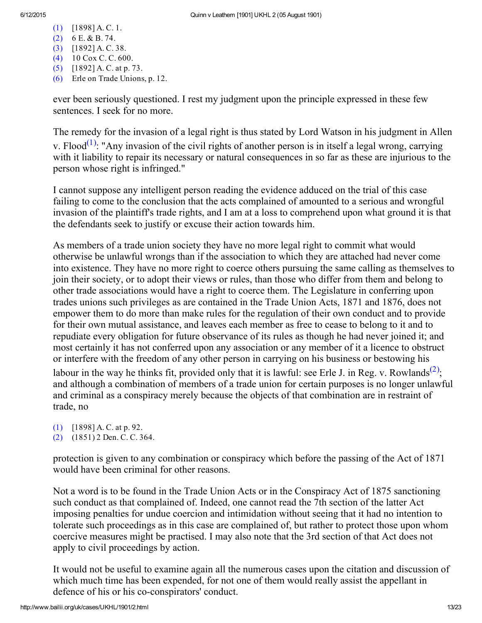- (1) [1898] A. C. 1.
- (2) 6 E. & B. 74.
- (3) [1892] A. C. 38.
- (4) 10 Cox C. C. 600.
- (5) [1892] A. C. at p. 73.
- (6) Erle on Trade Unions, p. 12.

ever been seriously questioned. I rest my judgment upon the principle expressed in these few sentences. I seek for no more.

The remedy for the invasion of a legal right is thus stated by Lord Watson in his judgment in Allen v. Flood<sup>(1)</sup>: "Any invasion of the civil rights of another person is in itself a legal wrong, carrying with it liability to repair its necessary or natural consequences in so far as these are injurious to the person whose right is infringed."

I cannot suppose any intelligent person reading the evidence adduced on the trial of this case failing to come to the conclusion that the acts complained of amounted to a serious and wrongful invasion of the plaintiff's trade rights, and I am at a loss to comprehend upon what ground it is that the defendants seek to justify or excuse their action towards him.

As members of a trade union society they have no more legal right to commit what would otherwise be unlawful wrongs than if the association to which they are attached had never come into existence. They have no more right to coerce others pursuing the same calling as themselves to join their society, or to adopt their views or rules, than those who differ from them and belong to other trade associations would have a right to coerce them. The Legislature in conferring upon trades unions such privileges as are contained in the Trade Union Acts, 1871 and 1876, does not empower them to do more than make rules for the regulation of their own conduct and to provide for their own mutual assistance, and leaves each member as free to cease to belong to it and to repudiate every obligation for future observance of its rules as though he had never joined it; and most certainly it has not conferred upon any association or any member of it a licence to obstruct or interfere with the freedom of any other person in carrying on his business or bestowing his labour in the way he thinks fit, provided only that it is lawful: see Erle J. in Reg. v. Rowlands<sup>(2)</sup>; and although a combination of members of a trade union for certain purposes is no longer unlawful and criminal as a conspiracy merely because the objects of that combination are in restraint of trade, no

(1) [1898] A. C. at p. 92. (2) (1851) 2 Den. C. C. 364.

protection is given to any combination or conspiracy which before the passing of the Act of 1871 would have been criminal for other reasons.

Not a word is to be found in the Trade Union Acts or in the Conspiracy Act of 1875 sanctioning such conduct as that complained of. Indeed, one cannot read the 7th section of the latter Act imposing penalties for undue coercion and intimidation without seeing that it had no intention to tolerate such proceedings as in this case are complained of, but rather to protect those upon whom coercive measures might be practised. I may also note that the 3rd section of that Act does not apply to civil proceedings by action.

It would not be useful to examine again all the numerous cases upon the citation and discussion of which much time has been expended, for not one of them would really assist the appellant in defence of his or his co-conspirators' conduct.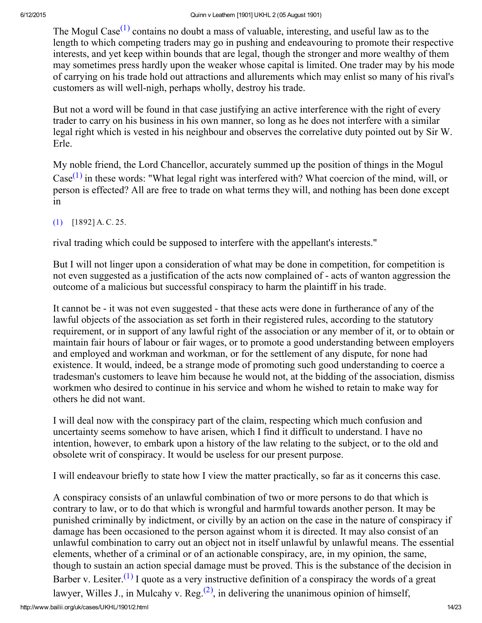The Mogul Case $^{(1)}$  contains no doubt a mass of valuable, interesting, and useful law as to the length to which competing traders may go in pushing and endeavouring to promote their respective interests, and yet keep within bounds that are legal, though the stronger and more wealthy of them may sometimes press hardly upon the weaker whose capital is limited. One trader may by his mode of carrying on his trade hold out attractions and allurements which may enlist so many of his rival's customers as will well-nigh, perhaps wholly, destroy his trade.

But not a word will be found in that case justifying an active interference with the right of every trader to carry on his business in his own manner, so long as he does not interfere with a similar legal right which is vested in his neighbour and observes the correlative duty pointed out by Sir W. Erle.

My noble friend, the Lord Chancellor, accurately summed up the position of things in the Mogul  $\text{Case}^{(1)}$  in these words: "What legal right was interfered with? What coercion of the mind, will, or person is effected? All are free to trade on what terms they will, and nothing has been done except in

### (1) [1892] A. C. 25.

rival trading which could be supposed to interfere with the appellant's interests."

But I will not linger upon a consideration of what may be done in competition, for competition is not even suggested as a justification of the acts now complained of - acts of wanton aggression the outcome of a malicious but successful conspiracy to harm the plaintiff in his trade.

It cannot be - it was not even suggested - that these acts were done in furtherance of any of the lawful objects of the association as set forth in their registered rules, according to the statutory requirement, or in support of any lawful right of the association or any member of it, or to obtain or maintain fair hours of labour or fair wages, or to promote a good understanding between employers and employed and workman and workman, or for the settlement of any dispute, for none had existence. It would, indeed, be a strange mode of promoting such good understanding to coerce a tradesman's customers to leave him because he would not, at the bidding of the association, dismiss workmen who desired to continue in his service and whom he wished to retain to make way for others he did not want.

I will deal now with the conspiracy part of the claim, respecting which much confusion and uncertainty seems somehow to have arisen, which I find it difficult to understand. I have no intention, however, to embark upon a history of the law relating to the subject, or to the old and obsolete writ of conspiracy. It would be useless for our present purpose.

I will endeavour briefly to state how I view the matter practically, so far as it concerns this case.

A conspiracy consists of an unlawful combination of two or more persons to do that which is contrary to law, or to do that which is wrongful and harmful towards another person. It may be punished criminally by indictment, or civilly by an action on the case in the nature of conspiracy if damage has been occasioned to the person against whom it is directed. It may also consist of an unlawful combination to carry out an object not in itself unlawful by unlawful means. The essential elements, whether of a criminal or of an actionable conspiracy, are, in my opinion, the same, though to sustain an action special damage must be proved. This is the substance of the decision in Barber v. Lesiter.<sup>(1)</sup> I quote as a very instructive definition of a conspiracy the words of a great lawyer, Willes J., in Mulcahy v. Reg.<sup>(2)</sup>, in delivering the unanimous opinion of himself,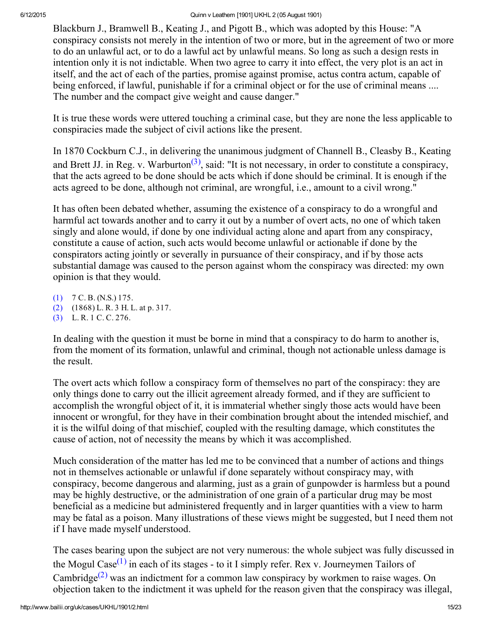Blackburn J., Bramwell B., Keating J., and Pigott B., which was adopted by this House: "A conspiracy consists not merely in the intention of two or more, but in the agreement of two or more to do an unlawful act, or to do a lawful act by unlawful means. So long as such a design rests in intention only it is not indictable. When two agree to carry it into effect, the very plot is an act in itself, and the act of each of the parties, promise against promise, actus contra actum, capable of being enforced, if lawful, punishable if for a criminal object or for the use of criminal means .... The number and the compact give weight and cause danger."

It is true these words were uttered touching a criminal case, but they are none the less applicable to conspiracies made the subject of civil actions like the present.

In 1870 Cockburn C.J., in delivering the unanimous judgment of Channell B., Cleasby B., Keating and Brett JJ. in Reg. v. Warburton<sup>(3)</sup>, said: "It is not necessary, in order to constitute a conspiracy, that the acts agreed to be done should be acts which if done should be criminal. It is enough if the acts agreed to be done, although not criminal, are wrongful, i.e., amount to a civil wrong."

It has often been debated whether, assuming the existence of a conspiracy to do a wrongful and harmful act towards another and to carry it out by a number of overt acts, no one of which taken singly and alone would, if done by one individual acting alone and apart from any conspiracy, constitute a cause of action, such acts would become unlawful or actionable if done by the conspirators acting jointly or severally in pursuance of their conspiracy, and if by those acts substantial damage was caused to the person against whom the conspiracy was directed: my own opinion is that they would.

- (1) 7 C. B. (N.S.) 175.
- (2) (1868) L. R. 3 H. L. at p. 317.
- (3) L. R. 1 C. C. 276.

In dealing with the question it must be borne in mind that a conspiracy to do harm to another is, from the moment of its formation, unlawful and criminal, though not actionable unless damage is the result.

The overt acts which follow a conspiracy form of themselves no part of the conspiracy: they are only things done to carry out the illicit agreement already formed, and if they are sufficient to accomplish the wrongful object of it, it is immaterial whether singly those acts would have been innocent or wrongful, for they have in their combination brought about the intended mischief, and it is the wilful doing of that mischief, coupled with the resulting damage, which constitutes the cause of action, not of necessity the means by which it was accomplished.

Much consideration of the matter has led me to be convinced that a number of actions and things not in themselves actionable or unlawful if done separately without conspiracy may, with conspiracy, become dangerous and alarming, just as a grain of gunpowder is harmless but a pound may be highly destructive, or the administration of one grain of a particular drug may be most beneficial as a medicine but administered frequently and in larger quantities with a view to harm may be fatal as a poison. Many illustrations of these views might be suggested, but I need them not if I have made myself understood.

The cases bearing upon the subject are not very numerous: the whole subject was fully discussed in the Mogul Case<sup>(1)</sup> in each of its stages - to it I simply refer. Rex v. Journeymen Tailors of Cambridge<sup>(2)</sup> was an indictment for a common law conspiracy by workmen to raise wages. On objection taken to the indictment it was upheld for the reason given that the conspiracy was illegal,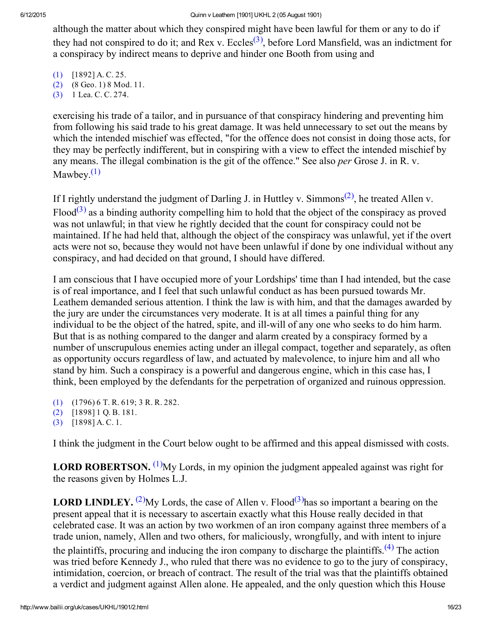although the matter about which they conspired might have been lawful for them or any to do if they had not conspired to do it; and Rex v. Eccles<sup>(3)</sup>, before Lord Mansfield, was an indictment for a conspiracy by indirect means to deprive and hinder one Booth from using and

- (1) [1892] A. C. 25.
- (2) (8 Geo. 1) 8 Mod. 11.
- (3) 1 Lea. C. C. 274.

exercising his trade of a tailor, and in pursuance of that conspiracy hindering and preventing him from following his said trade to his great damage. It was held unnecessary to set out the means by which the intended mischief was effected, "for the offence does not consist in doing those acts, for they may be perfectly indifferent, but in conspiring with a view to effect the intended mischief by any means. The illegal combination is the git of the offence." See also *per* Grose J. in R. v. Mawbey. $(1)$ 

If I rightly understand the judgment of Darling J. in Huttley v. Simmons<sup>(2)</sup>, he treated Allen v. Flood<sup>(3)</sup> as a binding authority compelling him to hold that the object of the conspiracy as proved was not unlawful; in that view he rightly decided that the count for conspiracy could not be maintained. If he had held that, although the object of the conspiracy was unlawful, yet if the overt acts were not so, because they would not have been unlawful if done by one individual without any conspiracy, and had decided on that ground, I should have differed.

I am conscious that I have occupied more of your Lordships' time than I had intended, but the case is of real importance, and I feel that such unlawful conduct as has been pursued towards Mr. Leathem demanded serious attention. I think the law is with him, and that the damages awarded by the jury are under the circumstances very moderate. It is at all times a painful thing for any individual to be the object of the hatred, spite, and ill-will of any one who seeks to do him harm. But that is as nothing compared to the danger and alarm created by a conspiracy formed by a number of unscrupulous enemies acting under an illegal compact, together and separately, as often as opportunity occurs regardless of law, and actuated by malevolence, to injure him and all who stand by him. Such a conspiracy is a powerful and dangerous engine, which in this case has, I think, been employed by the defendants for the perpetration of organized and ruinous oppression.

- (1) (1796) 6 T. R. 619; 3 R. R. 282.
- (2) [1898] 1 Q. B. 181.
- (3) [1898] A. C. 1.

I think the judgment in the Court below ought to be affirmed and this appeal dismissed with costs.

**LORD ROBERTSON.** <sup>(1)</sup>My Lords, in my opinion the judgment appealed against was right for the reasons given by Holmes L.J.

**LORD LINDLEY.** <sup>(2)</sup>My Lords, the case of Allen v. Flood<sup>(3)</sup> has so important a bearing on the present appeal that it is necessary to ascertain exactly what this House really decided in that celebrated case. It was an action by two workmen of an iron company against three members of a trade union, namely, Allen and two others, for maliciously, wrongfully, and with intent to injure the plaintiffs, procuring and inducing the iron company to discharge the plaintiffs.<sup>(4)</sup> The action was tried before Kennedy J., who ruled that there was no evidence to go to the jury of conspiracy, intimidation, coercion, or breach of contract. The result of the trial was that the plaintiffs obtained a verdict and judgment against Allen alone. He appealed, and the only question which this House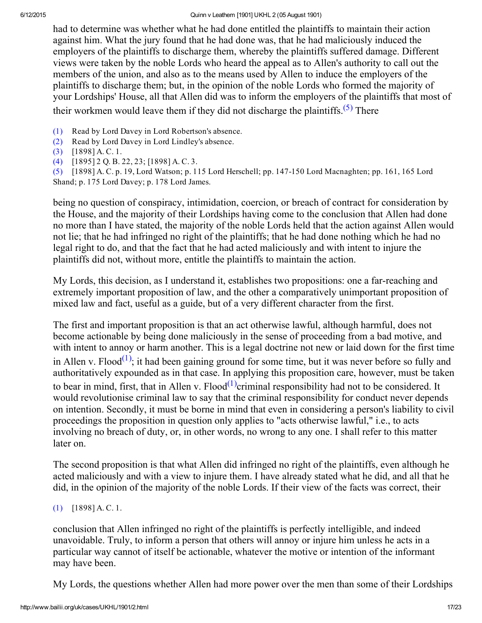had to determine was whether what he had done entitled the plaintiffs to maintain their action against him. What the jury found that he had done was, that he had maliciously induced the employers of the plaintiffs to discharge them, whereby the plaintiffs suffered damage. Different views were taken by the noble Lords who heard the appeal as to Allen's authority to call out the members of the union, and also as to the means used by Allen to induce the employers of the plaintiffs to discharge them; but, in the opinion of the noble Lords who formed the majority of your Lordships' House, all that Allen did was to inform the employers of the plaintiffs that most of their workmen would leave them if they did not discharge the plaintiffs.<sup>(5)</sup> There

- (1) Read by Lord Davey in Lord Robertson's absence.
- (2) Read by Lord Davey in Lord Lindley's absence.
- (3) [1898] A. C. 1.
- (4) [1895] 2 Q. B. 22, 23; [1898] A. C. 3.

(5) [1898] A. C. p. 19, Lord Watson; p. 115 Lord Herschell; pp. 147150 Lord Macnaghten; pp. 161, 165 Lord Shand; p. 175 Lord Davey; p. 178 Lord James.

being no question of conspiracy, intimidation, coercion, or breach of contract for consideration by the House, and the majority of their Lordships having come to the conclusion that Allen had done no more than I have stated, the majority of the noble Lords held that the action against Allen would not lie; that he had infringed no right of the plaintiffs; that he had done nothing which he had no legal right to do, and that the fact that he had acted maliciously and with intent to injure the plaintiffs did not, without more, entitle the plaintiffs to maintain the action.

My Lords, this decision, as I understand it, establishes two propositions: one a far-reaching and extremely important proposition of law, and the other a comparatively unimportant proposition of mixed law and fact, useful as a guide, but of a very different character from the first.

The first and important proposition is that an act otherwise lawful, although harmful, does not become actionable by being done maliciously in the sense of proceeding from a bad motive, and with intent to annoy or harm another. This is a legal doctrine not new or laid down for the first time in Allen v. Flood<sup>(1)</sup>; it had been gaining ground for some time, but it was never before so fully and authoritatively expounded as in that case. In applying this proposition care, however, must be taken to bear in mind, first, that in Allen v. Flood $(1)$ criminal responsibility had not to be considered. It would revolutionise criminal law to say that the criminal responsibility for conduct never depends on intention. Secondly, it must be borne in mind that even in considering a person's liability to civil proceedings the proposition in question only applies to "acts otherwise lawful," i.e., to acts involving no breach of duty, or, in other words, no wrong to any one. I shall refer to this matter later on.

The second proposition is that what Allen did infringed no right of the plaintiffs, even although he acted maliciously and with a view to injure them. I have already stated what he did, and all that he did, in the opinion of the majority of the noble Lords. If their view of the facts was correct, their

## (1) [1898] A. C. 1.

conclusion that Allen infringed no right of the plaintiffs is perfectly intelligible, and indeed unavoidable. Truly, to inform a person that others will annoy or injure him unless he acts in a particular way cannot of itself be actionable, whatever the motive or intention of the informant may have been.

My Lords, the questions whether Allen had more power over the men than some of their Lordships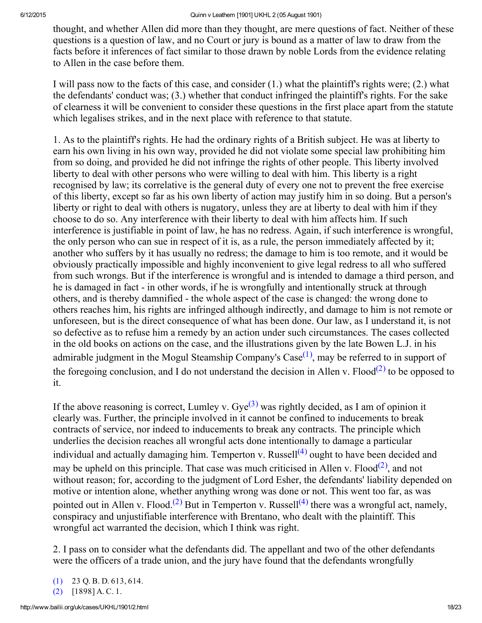thought, and whether Allen did more than they thought, are mere questions of fact. Neither of these questions is a question of law, and no Court or jury is bound as a matter of law to draw from the facts before it inferences of fact similar to those drawn by noble Lords from the evidence relating to Allen in the case before them.

I will pass now to the facts of this case, and consider (1.) what the plaintiff's rights were; (2.) what the defendants' conduct was; (3.) whether that conduct infringed the plaintiff's rights. For the sake of clearness it will be convenient to consider these questions in the first place apart from the statute which legalises strikes, and in the next place with reference to that statute.

1. As to the plaintiff's rights. He had the ordinary rights of a British subject. He was at liberty to earn his own living in his own way, provided he did not violate some special law prohibiting him from so doing, and provided he did not infringe the rights of other people. This liberty involved liberty to deal with other persons who were willing to deal with him. This liberty is a right recognised by law; its correlative is the general duty of every one not to prevent the free exercise of this liberty, except so far as his own liberty of action may justify him in so doing. But a person's liberty or right to deal with others is nugatory, unless they are at liberty to deal with him if they choose to do so. Any interference with their liberty to deal with him affects him. If such interference is justifiable in point of law, he has no redress. Again, if such interference is wrongful, the only person who can sue in respect of it is, as a rule, the person immediately affected by it; another who suffers by it has usually no redress; the damage to him is too remote, and it would be obviously practically impossible and highly inconvenient to give legal redress to all who suffered from such wrongs. But if the interference is wrongful and is intended to damage a third person, and he is damaged in fact - in other words, if he is wrongfully and intentionally struck at through others, and is thereby damnified the whole aspect of the case is changed: the wrong done to others reaches him, his rights are infringed although indirectly, and damage to him is not remote or unforeseen, but is the direct consequence of what has been done. Our law, as I understand it, is not so defective as to refuse him a remedy by an action under such circumstances. The cases collected in the old books on actions on the case, and the illustrations given by the late Bowen L.J. in his admirable judgment in the Mogul Steamship Company's  $Case<sup>(1)</sup>$ , may be referred to in support of the foregoing conclusion, and I do not understand the decision in Allen v. Flood<sup>(2)</sup> to be opposed to it.

If the above reasoning is correct, Lumley v. Gye<sup>(3)</sup> was rightly decided, as I am of opinion it clearly was. Further, the principle involved in it cannot be confined to inducements to break contracts of service, nor indeed to inducements to break any contracts. The principle which underlies the decision reaches all wrongful acts done intentionally to damage a particular individual and actually damaging him. Temperton v. Russell $(4)$  ought to have been decided and may be upheld on this principle. That case was much criticised in Allen v. Flood<sup>(2)</sup>, and not without reason; for, according to the judgment of Lord Esher, the defendants' liability depended on motive or intention alone, whether anything wrong was done or not. This went too far, as was pointed out in Allen v. Flood.<sup>(2)</sup> But in Temperton v. Russell<sup>(4)</sup> there was a wrongful act, namely, conspiracy and unjustifiable interference with Brentano, who dealt with the plaintiff. This wrongful act warranted the decision, which I think was right.

2. I pass on to consider what the defendants did. The appellant and two of the other defendants were the officers of a trade union, and the jury have found that the defendants wrongfully

<sup>(1)</sup> 23 Q. B. D. 613, 614.

<sup>(2)</sup> [1898] A. C. 1.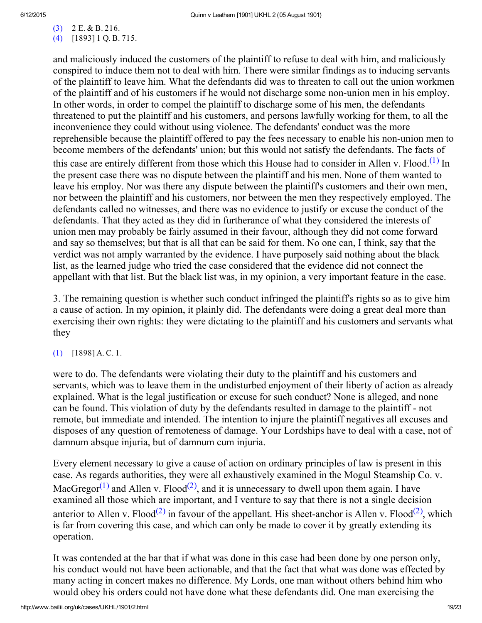- (3) 2 E. & B. 216.
- (4) [1893] 1 Q. B. 715.

and maliciously induced the customers of the plaintiff to refuse to deal with him, and maliciously conspired to induce them not to deal with him. There were similar findings as to inducing servants of the plaintiff to leave him. What the defendants did was to threaten to call out the union workmen of the plaintiff and of his customers if he would not discharge some non-union men in his employ. In other words, in order to compel the plaintiff to discharge some of his men, the defendants threatened to put the plaintiff and his customers, and persons lawfully working for them, to all the inconvenience they could without using violence. The defendants' conduct was the more reprehensible because the plaintiff offered to pay the fees necessary to enable his non-union men to become members of the defendants' union; but this would not satisfy the defendants. The facts of

this case are entirely different from those which this House had to consider in Allen v. Flood.<sup>(1)</sup> In the present case there was no dispute between the plaintiff and his men. None of them wanted to leave his employ. Nor was there any dispute between the plaintiff's customers and their own men, nor between the plaintiff and his customers, nor between the men they respectively employed. The defendants called no witnesses, and there was no evidence to justify or excuse the conduct of the defendants. That they acted as they did in furtherance of what they considered the interests of union men may probably be fairly assumed in their favour, although they did not come forward and say so themselves; but that is all that can be said for them. No one can, I think, say that the verdict was not amply warranted by the evidence. I have purposely said nothing about the black list, as the learned judge who tried the case considered that the evidence did not connect the appellant with that list. But the black list was, in my opinion, a very important feature in the case.

3. The remaining question is whether such conduct infringed the plaintiff's rights so as to give him a cause of action. In my opinion, it plainly did. The defendants were doing a great deal more than exercising their own rights: they were dictating to the plaintiff and his customers and servants what they

### (1) [1898] A. C. 1.

were to do. The defendants were violating their duty to the plaintiff and his customers and servants, which was to leave them in the undisturbed enjoyment of their liberty of action as already explained. What is the legal justification or excuse for such conduct? None is alleged, and none can be found. This violation of duty by the defendants resulted in damage to the plaintiff - not remote, but immediate and intended. The intention to injure the plaintiff negatives all excuses and disposes of any question of remoteness of damage. Your Lordships have to deal with a case, not of damnum absque injuria, but of damnum cum injuria.

Every element necessary to give a cause of action on ordinary principles of law is present in this case. As regards authorities, they were all exhaustively examined in the Mogul Steamship Co. v. MacGregor<sup>(1)</sup> and Allen v. Flood<sup>(2)</sup>, and it is unnecessary to dwell upon them again. I have examined all those which are important, and I venture to say that there is not a single decision anterior to Allen v. Flood<sup>(2)</sup> in favour of the appellant. His sheet-anchor is Allen v. Flood<sup>(2)</sup>, which is far from covering this case, and which can only be made to cover it by greatly extending its operation.

It was contended at the bar that if what was done in this case had been done by one person only, his conduct would not have been actionable, and that the fact that what was done was effected by many acting in concert makes no difference. My Lords, one man without others behind him who would obey his orders could not have done what these defendants did. One man exercising the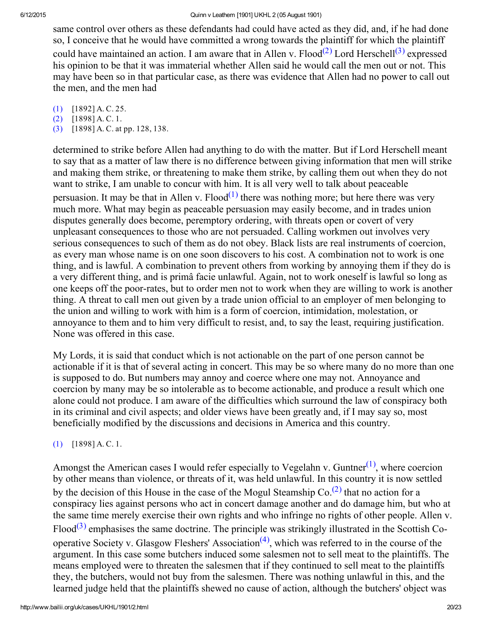same control over others as these defendants had could have acted as they did, and, if he had done so, I conceive that he would have committed a wrong towards the plaintiff for which the plaintiff could have maintained an action. I am aware that in Allen v. Flood<sup>(2)</sup> Lord Herschell<sup>(3)</sup> expressed his opinion to be that it was immaterial whether Allen said he would call the men out or not. This may have been so in that particular case, as there was evidence that Allen had no power to call out the men, and the men had

(1) [1892] A. C. 25.

- (2) [1898] A. C. 1.
- (3) [1898] A. C. at pp. 128, 138.

determined to strike before Allen had anything to do with the matter. But if Lord Herschell meant to say that as a matter of law there is no difference between giving information that men will strike and making them strike, or threatening to make them strike, by calling them out when they do not want to strike, I am unable to concur with him. It is all very well to talk about peaceable persuasion. It may be that in Allen v.  $Flood^{(1)}$  there was nothing more; but here there was very much more. What may begin as peaceable persuasion may easily become, and in trades union disputes generally does become, peremptory ordering, with threats open or covert of very unpleasant consequences to those who are not persuaded. Calling workmen out involves very serious consequences to such of them as do not obey. Black lists are real instruments of coercion, as every man whose name is on one soon discovers to his cost. A combination not to work is one thing, and is lawful. A combination to prevent others from working by annoying them if they do is a very different thing, and is primâ facie unlawful. Again, not to work oneself is lawful so long as one keeps off the poor-rates, but to order men not to work when they are willing to work is another thing. A threat to call men out given by a trade union official to an employer of men belonging to the union and willing to work with him is a form of coercion, intimidation, molestation, or annoyance to them and to him very difficult to resist, and, to say the least, requiring justification. None was offered in this case.

My Lords, it is said that conduct which is not actionable on the part of one person cannot be actionable if it is that of several acting in concert. This may be so where many do no more than one is supposed to do. But numbers may annoy and coerce where one may not. Annoyance and coercion by many may be so intolerable as to become actionable, and produce a result which one alone could not produce. I am aware of the difficulties which surround the law of conspiracy both in its criminal and civil aspects; and older views have been greatly and, if I may say so, most beneficially modified by the discussions and decisions in America and this country.

## (1) [1898] A. C. 1.

Amongst the American cases I would refer especially to Vegelahn v. Guntner $(1)$ , where coercion by other means than violence, or threats of it, was held unlawful. In this country it is now settled by the decision of this House in the case of the Mogul Steamship  $Co^{(2)}$  that no action for a conspiracy lies against persons who act in concert damage another and do damage him, but who at the same time merely exercise their own rights and who infringe no rights of other people. Allen v. Flood<sup>(3)</sup> emphasises the same doctrine. The principle was strikingly illustrated in the Scottish Cooperative Society v. Glasgow Fleshers' Association<sup>(4)</sup>, which was referred to in the course of the argument. In this case some butchers induced some salesmen not to sell meat to the plaintiffs. The means employed were to threaten the salesmen that if they continued to sell meat to the plaintiffs they, the butchers, would not buy from the salesmen. There was nothing unlawful in this, and the learned judge held that the plaintiffs shewed no cause of action, although the butchers' object was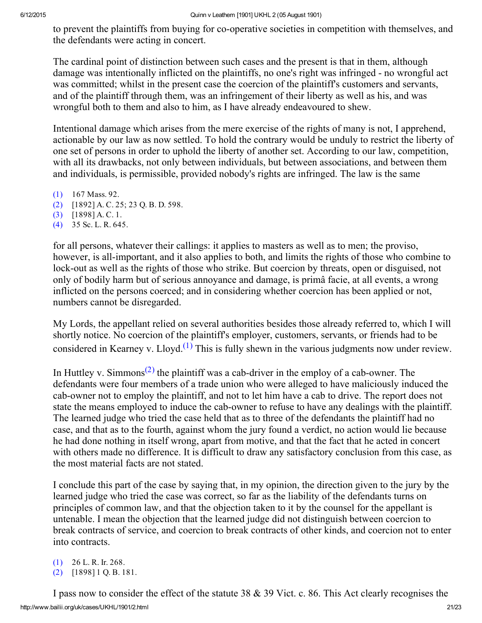to prevent the plaintiffs from buying for co-operative societies in competition with themselves, and the defendants were acting in concert.

The cardinal point of distinction between such cases and the present is that in them, although damage was intentionally inflicted on the plaintiffs, no one's right was infringed - no wrongful act was committed; whilst in the present case the coercion of the plaintiff's customers and servants, and of the plaintiff through them, was an infringement of their liberty as well as his, and was wrongful both to them and also to him, as I have already endeavoured to shew.

Intentional damage which arises from the mere exercise of the rights of many is not, I apprehend, actionable by our law as now settled. To hold the contrary would be unduly to restrict the liberty of one set of persons in order to uphold the liberty of another set. According to our law, competition, with all its drawbacks, not only between individuals, but between associations, and between them and individuals, is permissible, provided nobody's rights are infringed. The law is the same

- (1) 167 Mass. 92.
- (2) [1892] A. C. 25; 23 Q. B. D. 598.
- (3) [1898] A. C. 1.
- (4) 35 Sc. L. R. 645.

for all persons, whatever their callings: it applies to masters as well as to men; the proviso, however, is all-important, and it also applies to both, and limits the rights of those who combine to lock-out as well as the rights of those who strike. But coercion by threats, open or disguised, not only of bodily harm but of serious annoyance and damage, is primâ facie, at all events, a wrong inflicted on the persons coerced; and in considering whether coercion has been applied or not, numbers cannot be disregarded.

My Lords, the appellant relied on several authorities besides those already referred to, which I will shortly notice. No coercion of the plaintiff's employer, customers, servants, or friends had to be considered in Kearney v. Lloyd.<sup>(1)</sup> This is fully shewn in the various judgments now under review.

In Huttley v. Simmons<sup>(2)</sup> the plaintiff was a cab-driver in the employ of a cab-owner. The defendants were four members of a trade union who were alleged to have maliciously induced the cab-owner not to employ the plaintiff, and not to let him have a cab to drive. The report does not state the means employed to induce the cab-owner to refuse to have any dealings with the plaintiff. The learned judge who tried the case held that as to three of the defendants the plaintiff had no case, and that as to the fourth, against whom the jury found a verdict, no action would lie because he had done nothing in itself wrong, apart from motive, and that the fact that he acted in concert with others made no difference. It is difficult to draw any satisfactory conclusion from this case, as the most material facts are not stated.

I conclude this part of the case by saying that, in my opinion, the direction given to the jury by the learned judge who tried the case was correct, so far as the liability of the defendants turns on principles of common law, and that the objection taken to it by the counsel for the appellant is untenable. I mean the objection that the learned judge did not distinguish between coercion to break contracts of service, and coercion to break contracts of other kinds, and coercion not to enter into contracts.

(1) 26 L. R. Ir. 268. (2) [1898] 1 Q. B. 181.

http://www.bailii.org/uk/cases/UKHL/1901/2.html 21/23 I pass now to consider the effect of the statute 38 & 39 Vict. c. 86. This Act clearly recognises the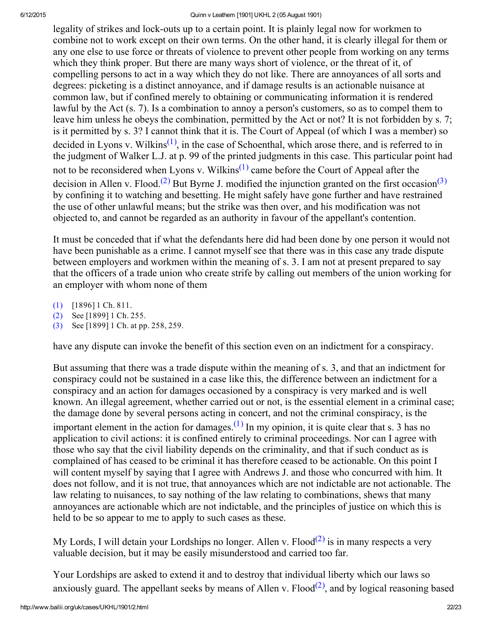legality of strikes and lock-outs up to a certain point. It is plainly legal now for workmen to combine not to work except on their own terms. On the other hand, it is clearly illegal for them or any one else to use force or threats of violence to prevent other people from working on any terms which they think proper. But there are many ways short of violence, or the threat of it, of compelling persons to act in a way which they do not like. There are annoyances of all sorts and degrees: picketing is a distinct annoyance, and if damage results is an actionable nuisance at common law, but if confined merely to obtaining or communicating information it is rendered lawful by the Act (s. 7). Is a combination to annoy a person's customers, so as to compel them to leave him unless he obeys the combination, permitted by the Act or not? It is not forbidden by s. 7; is it permitted by s. 3? I cannot think that it is. The Court of Appeal (of which I was a member) so decided in Lyons v. Wilkins<sup>(1)</sup>, in the case of Schoenthal, which arose there, and is referred to in the judgment of Walker L.J. at p. 99 of the printed judgments in this case. This particular point had not to be reconsidered when Lyons v. Wilkins<sup> $(1)$ </sup> came before the Court of Appeal after the decision in Allen v. Flood.<sup>(2)</sup> But Byrne J. modified the injunction granted on the first occasion<sup>(3)</sup> by confining it to watching and besetting. He might safely have gone further and have restrained the use of other unlawful means; but the strike was then over, and his modification was not objected to, and cannot be regarded as an authority in favour of the appellant's contention.

It must be conceded that if what the defendants here did had been done by one person it would not have been punishable as a crime. I cannot myself see that there was in this case any trade dispute between employers and workmen within the meaning of s. 3. I am not at present prepared to say that the officers of a trade union who create strife by calling out members of the union working for an employer with whom none of them

(1) [1896] 1 Ch. 811.

(2) See [1899] 1 Ch. 255.

(3) See [1899] 1 Ch. at pp. 258, 259.

have any dispute can invoke the benefit of this section even on an indictment for a conspiracy.

But assuming that there was a trade dispute within the meaning of s. 3, and that an indictment for conspiracy could not be sustained in a case like this, the difference between an indictment for a conspiracy and an action for damages occasioned by a conspiracy is very marked and is well known. An illegal agreement, whether carried out or not, is the essential element in a criminal case; the damage done by several persons acting in concert, and not the criminal conspiracy, is the important element in the action for damages.<sup>(1)</sup> In my opinion, it is quite clear that s. 3 has no application to civil actions: it is confined entirely to criminal proceedings. Nor can I agree with those who say that the civil liability depends on the criminality, and that if such conduct as is complained of has ceased to be criminal it has therefore ceased to be actionable. On this point I will content myself by saying that I agree with Andrews J. and those who concurred with him. It does not follow, and it is not true, that annoyances which are not indictable are not actionable. The law relating to nuisances, to say nothing of the law relating to combinations, shews that many annoyances are actionable which are not indictable, and the principles of justice on which this is held to be so appear to me to apply to such cases as these.

My Lords, I will detain your Lordships no longer. Allen v.  $Flood^{(2)}$  is in many respects a very valuable decision, but it may be easily misunderstood and carried too far.

Your Lordships are asked to extend it and to destroy that individual liberty which our laws so anxiously guard. The appellant seeks by means of Allen v. Flood<sup>(2)</sup>, and by logical reasoning based